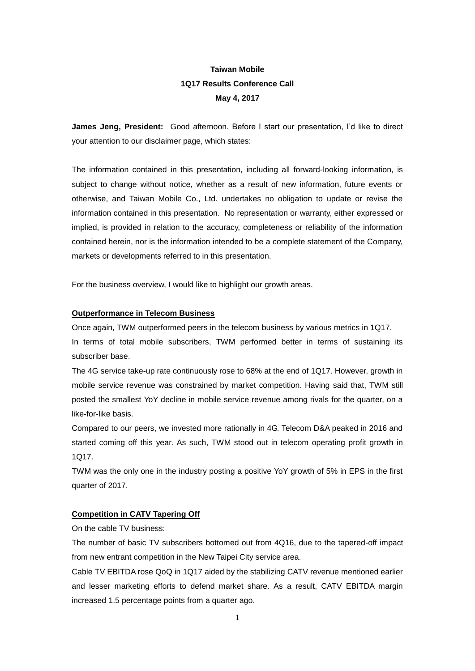# **Taiwan Mobile 1Q17 Results Conference Call May 4, 2017**

**James Jeng, President:** Good afternoon. Before I start our presentation, I'd like to direct your attention to our disclaimer page, which states:

The information contained in this presentation, including all forward-looking information, is subject to change without notice, whether as a result of new information, future events or otherwise, and Taiwan Mobile Co., Ltd. undertakes no obligation to update or revise the information contained in this presentation. No representation or warranty, either expressed or implied, is provided in relation to the accuracy, completeness or reliability of the information contained herein, nor is the information intended to be a complete statement of the Company, markets or developments referred to in this presentation.

For the business overview, I would like to highlight our growth areas.

## **Outperformance in Telecom Business**

Once again, TWM outperformed peers in the telecom business by various metrics in 1Q17. In terms of total mobile subscribers, TWM performed better in terms of sustaining its subscriber base.

The 4G service take-up rate continuously rose to 68% at the end of 1Q17. However, growth in mobile service revenue was constrained by market competition. Having said that, TWM still posted the smallest YoY decline in mobile service revenue among rivals for the quarter, on a like-for-like basis.

Compared to our peers, we invested more rationally in 4G. Telecom D&A peaked in 2016 and started coming off this year. As such, TWM stood out in telecom operating profit growth in 1Q17.

TWM was the only one in the industry posting a positive YoY growth of 5% in EPS in the first quarter of 2017.

## **Competition in CATV Tapering Off**

On the cable TV business:

The number of basic TV subscribers bottomed out from 4Q16, due to the tapered-off impact from new entrant competition in the New Taipei City service area.

Cable TV EBITDA rose QoQ in 1Q17 aided by the stabilizing CATV revenue mentioned earlier and lesser marketing efforts to defend market share. As a result, CATV EBITDA margin increased 1.5 percentage points from a quarter ago.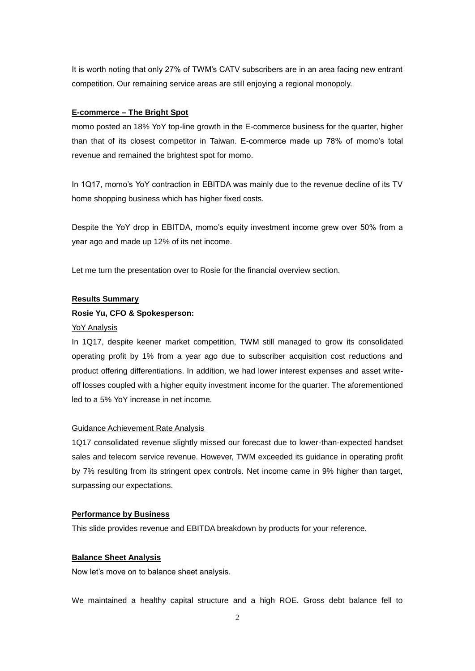It is worth noting that only 27% of TWM's CATV subscribers are in an area facing new entrant competition. Our remaining service areas are still enjoying a regional monopoly.

### **E-commerce – The Bright Spot**

momo posted an 18% YoY top-line growth in the E-commerce business for the quarter, higher than that of its closest competitor in Taiwan. E-commerce made up 78% of momo's total revenue and remained the brightest spot for momo.

In 1Q17, momo's YoY contraction in EBITDA was mainly due to the revenue decline of its TV home shopping business which has higher fixed costs.

Despite the YoY drop in EBITDA, momo's equity investment income grew over 50% from a year ago and made up 12% of its net income.

Let me turn the presentation over to Rosie for the financial overview section.

#### **Results Summary**

## **Rosie Yu, CFO & Spokesperson:**

### YoY Analysis

In 1Q17, despite keener market competition, TWM still managed to grow its consolidated operating profit by 1% from a year ago due to subscriber acquisition cost reductions and product offering differentiations. In addition, we had lower interest expenses and asset writeoff losses coupled with a higher equity investment income for the quarter. The aforementioned led to a 5% YoY increase in net income.

### Guidance Achievement Rate Analysis

1Q17 consolidated revenue slightly missed our forecast due to lower-than-expected handset sales and telecom service revenue. However, TWM exceeded its guidance in operating profit by 7% resulting from its stringent opex controls. Net income came in 9% higher than target, surpassing our expectations.

#### **Performance by Business**

This slide provides revenue and EBITDA breakdown by products for your reference.

### **Balance Sheet Analysis**

Now let's move on to balance sheet analysis.

We maintained a healthy capital structure and a high ROE. Gross debt balance fell to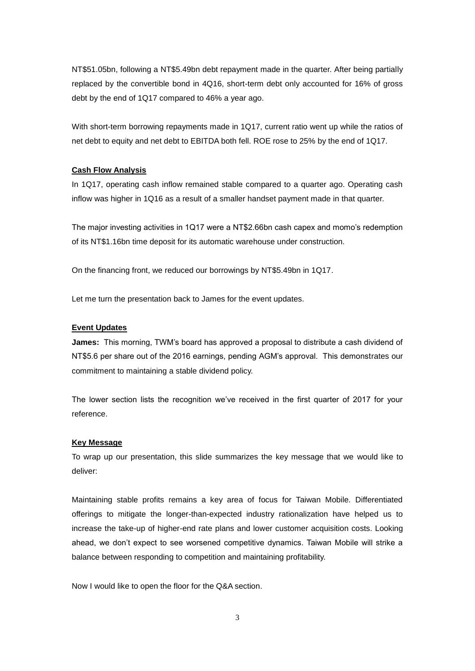NT\$51.05bn, following a NT\$5.49bn debt repayment made in the quarter. After being partially replaced by the convertible bond in 4Q16, short-term debt only accounted for 16% of gross debt by the end of 1Q17 compared to 46% a year ago.

With short-term borrowing repayments made in 1Q17, current ratio went up while the ratios of net debt to equity and net debt to EBITDA both fell. ROE rose to 25% by the end of 1Q17.

## **Cash Flow Analysis**

In 1Q17, operating cash inflow remained stable compared to a quarter ago. Operating cash inflow was higher in 1Q16 as a result of a smaller handset payment made in that quarter.

The major investing activities in 1Q17 were a NT\$2.66bn cash capex and momo's redemption of its NT\$1.16bn time deposit for its automatic warehouse under construction.

On the financing front, we reduced our borrowings by NT\$5.49bn in 1Q17.

Let me turn the presentation back to James for the event updates.

### **Event Updates**

**James:** This morning, TWM's board has approved a proposal to distribute a cash dividend of NT\$5.6 per share out of the 2016 earnings, pending AGM's approval. This demonstrates our commitment to maintaining a stable dividend policy.

The lower section lists the recognition we've received in the first quarter of 2017 for your reference.

#### **Key Message**

To wrap up our presentation, this slide summarizes the key message that we would like to deliver:

Maintaining stable profits remains a key area of focus for Taiwan Mobile. Differentiated offerings to mitigate the longer-than-expected industry rationalization have helped us to increase the take-up of higher-end rate plans and lower customer acquisition costs. Looking ahead, we don't expect to see worsened competitive dynamics. Taiwan Mobile will strike a balance between responding to competition and maintaining profitability.

Now I would like to open the floor for the Q&A section.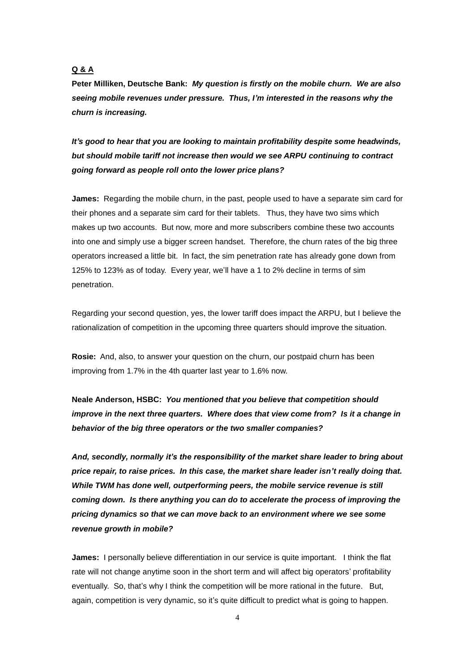# **Q & A**

**Peter Milliken, Deutsche Bank:** *My question is firstly on the mobile churn. We are also seeing mobile revenues under pressure. Thus, I'm interested in the reasons why the churn is increasing.*

*It's good to hear that you are looking to maintain profitability despite some headwinds, but should mobile tariff not increase then would we see ARPU continuing to contract going forward as people roll onto the lower price plans?*

**James:** Regarding the mobile churn, in the past, people used to have a separate sim card for their phones and a separate sim card for their tablets. Thus, they have two sims which makes up two accounts. But now, more and more subscribers combine these two accounts into one and simply use a bigger screen handset. Therefore, the churn rates of the big three operators increased a little bit. In fact, the sim penetration rate has already gone down from 125% to 123% as of today. Every year, we'll have a 1 to 2% decline in terms of sim penetration.

Regarding your second question, yes, the lower tariff does impact the ARPU, but I believe the rationalization of competition in the upcoming three quarters should improve the situation.

**Rosie:** And, also, to answer your question on the churn, our postpaid churn has been improving from 1.7% in the 4th quarter last year to 1.6% now.

**Neale Anderson, HSBC:** *You mentioned that you believe that competition should improve in the next three quarters. Where does that view come from? Is it a change in behavior of the big three operators or the two smaller companies?*

*And, secondly, normally it's the responsibility of the market share leader to bring about price repair, to raise prices. In this case, the market share leader isn't really doing that. While TWM has done well, outperforming peers, the mobile service revenue is still coming down. Is there anything you can do to accelerate the process of improving the pricing dynamics so that we can move back to an environment where we see some revenue growth in mobile?* 

**James:** I personally believe differentiation in our service is quite important. I think the flat rate will not change anytime soon in the short term and will affect big operators' profitability eventually. So, that's why I think the competition will be more rational in the future. But, again, competition is very dynamic, so it's quite difficult to predict what is going to happen.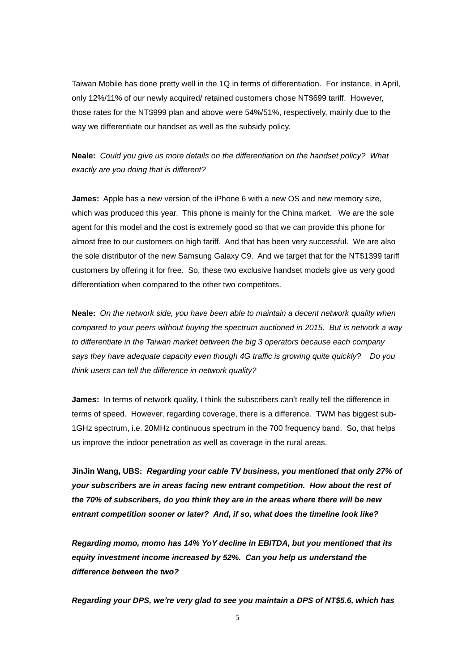Taiwan Mobile has done pretty well in the 1Q in terms of differentiation. For instance, in April, only 12%/11% of our newly acquired/ retained customers chose NT\$699 tariff. However, those rates for the NT\$999 plan and above were 54%/51%, respectively, mainly due to the way we differentiate our handset as well as the subsidy policy.

**Neale:** *Could you give us more details on the differentiation on the handset policy? What exactly are you doing that is different?*

**James:** Apple has a new version of the iPhone 6 with a new OS and new memory size, which was produced this year. This phone is mainly for the China market. We are the sole agent for this model and the cost is extremely good so that we can provide this phone for almost free to our customers on high tariff. And that has been very successful. We are also the sole distributor of the new Samsung Galaxy C9. And we target that for the NT\$1399 tariff customers by offering it for free. So, these two exclusive handset models give us very good differentiation when compared to the other two competitors.

**Neale:** *On the network side, you have been able to maintain a decent network quality when compared to your peers without buying the spectrum auctioned in 2015. But is network a way to differentiate in the Taiwan market between the big 3 operators because each company says they have adequate capacity even though 4G traffic is growing quite quickly? Do you think users can tell the difference in network quality?*

**James:** In terms of network quality, I think the subscribers can't really tell the difference in terms of speed. However, regarding coverage, there is a difference. TWM has biggest sub-1GHz spectrum, i.e. 20MHz continuous spectrum in the 700 frequency band. So, that helps us improve the indoor penetration as well as coverage in the rural areas.

**JinJin Wang, UBS:** *Regarding your cable TV business, you mentioned that only 27% of your subscribers are in areas facing new entrant competition. How about the rest of the 70% of subscribers, do you think they are in the areas where there will be new entrant competition sooner or later? And, if so, what does the timeline look like?*

*Regarding momo, momo has 14% YoY decline in EBITDA, but you mentioned that its equity investment income increased by 52%. Can you help us understand the difference between the two?* 

*Regarding your DPS, we're very glad to see you maintain a DPS of NT\$5.6, which has*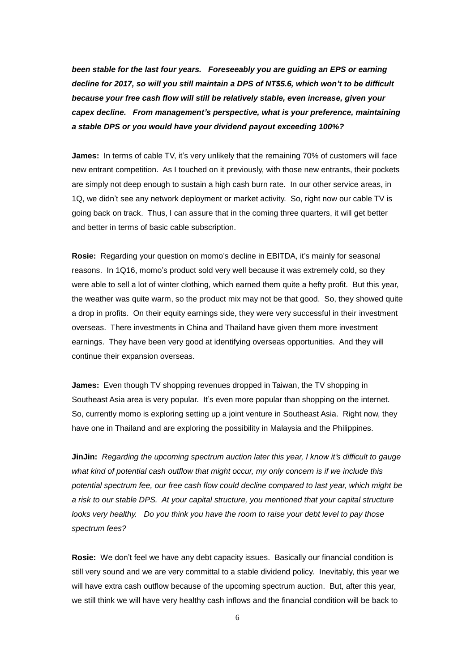*been stable for the last four years. Foreseeably you are guiding an EPS or earning decline for 2017, so will you still maintain a DPS of NT\$5.6, which won't to be difficult because your free cash flow will still be relatively stable, even increase, given your capex decline. From management's perspective, what is your preference, maintaining a stable DPS or you would have your dividend payout exceeding 100%?*

**James:** In terms of cable TV, it's very unlikely that the remaining 70% of customers will face new entrant competition. As I touched on it previously, with those new entrants, their pockets are simply not deep enough to sustain a high cash burn rate. In our other service areas, in 1Q, we didn't see any network deployment or market activity. So, right now our cable TV is going back on track. Thus, I can assure that in the coming three quarters, it will get better and better in terms of basic cable subscription.

**Rosie:** Regarding your question on momo's decline in EBITDA, it's mainly for seasonal reasons. In 1Q16, momo's product sold very well because it was extremely cold, so they were able to sell a lot of winter clothing, which earned them quite a hefty profit. But this year, the weather was quite warm, so the product mix may not be that good. So, they showed quite a drop in profits. On their equity earnings side, they were very successful in their investment overseas. There investments in China and Thailand have given them more investment earnings. They have been very good at identifying overseas opportunities. And they will continue their expansion overseas.

**James:** Even though TV shopping revenues dropped in Taiwan, the TV shopping in Southeast Asia area is very popular. It's even more popular than shopping on the internet. So, currently momo is exploring setting up a joint venture in Southeast Asia. Right now, they have one in Thailand and are exploring the possibility in Malaysia and the Philippines.

**JinJin:** *Regarding the upcoming spectrum auction later this year, I know it's difficult to gauge what kind of potential cash outflow that might occur, my only concern is if we include this potential spectrum fee, our free cash flow could decline compared to last year, which might be a risk to our stable DPS. At your capital structure, you mentioned that your capital structure looks very healthy. Do you think you have the room to raise your debt level to pay those spectrum fees?*

**Rosie:** We don't feel we have any debt capacity issues. Basically our financial condition is still very sound and we are very committal to a stable dividend policy. Inevitably, this year we will have extra cash outflow because of the upcoming spectrum auction. But, after this year, we still think we will have very healthy cash inflows and the financial condition will be back to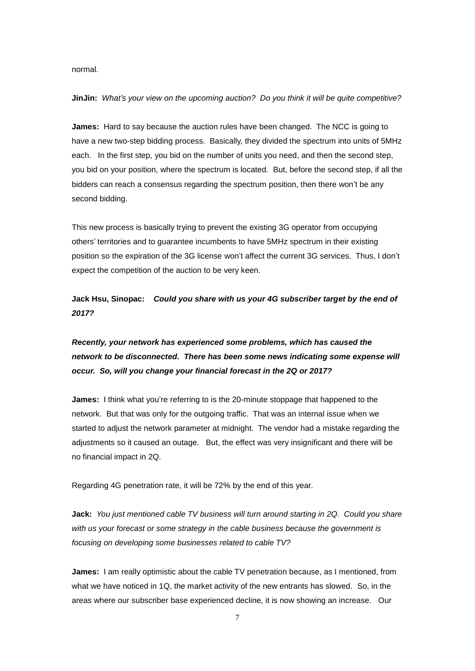normal.

#### **JinJin:** *What's your view on the upcoming auction? Do you think it will be quite competitive?*

**James:** Hard to say because the auction rules have been changed. The NCC is going to have a new two-step bidding process. Basically, they divided the spectrum into units of 5MHz each. In the first step, you bid on the number of units you need, and then the second step, you bid on your position, where the spectrum is located. But, before the second step, if all the bidders can reach a consensus regarding the spectrum position, then there won't be any second bidding.

This new process is basically trying to prevent the existing 3G operator from occupying others' territories and to guarantee incumbents to have 5MHz spectrum in their existing position so the expiration of the 3G license won't affect the current 3G services. Thus, I don't expect the competition of the auction to be very keen.

**Jack Hsu, Sinopac:** *Could you share with us your 4G subscriber target by the end of 2017?*

# *Recently, your network has experienced some problems, which has caused the network to be disconnected. There has been some news indicating some expense will occur. So, will you change your financial forecast in the 2Q or 2017?*

**James:** I think what you're referring to is the 20-minute stoppage that happened to the network. But that was only for the outgoing traffic. That was an internal issue when we started to adjust the network parameter at midnight. The vendor had a mistake regarding the adjustments so it caused an outage. But, the effect was very insignificant and there will be no financial impact in 2Q.

Regarding 4G penetration rate, it will be 72% by the end of this year.

**Jack:** *You just mentioned cable TV business will turn around starting in 2Q. Could you share with us your forecast or some strategy in the cable business because the government is focusing on developing some businesses related to cable TV?*

**James:** I am really optimistic about the cable TV penetration because, as I mentioned, from what we have noticed in 1Q, the market activity of the new entrants has slowed. So, in the areas where our subscriber base experienced decline, it is now showing an increase. Our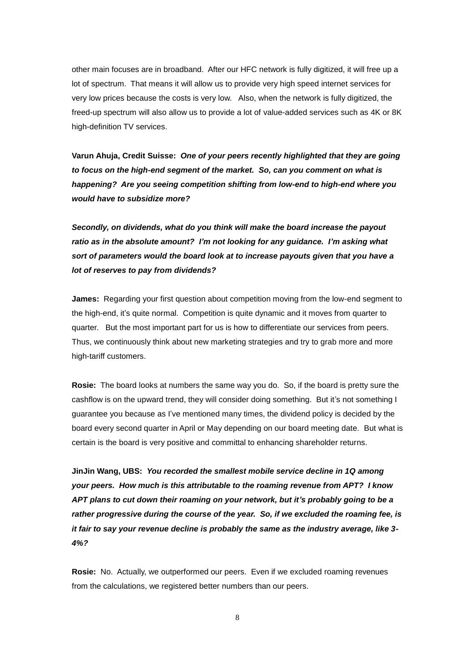other main focuses are in broadband. After our HFC network is fully digitized, it will free up a lot of spectrum. That means it will allow us to provide very high speed internet services for very low prices because the costs is very low. Also, when the network is fully digitized, the freed-up spectrum will also allow us to provide a lot of value-added services such as 4K or 8K high-definition TV services.

**Varun Ahuja, Credit Suisse:** *One of your peers recently highlighted that they are going to focus on the high-end segment of the market. So, can you comment on what is happening? Are you seeing competition shifting from low-end to high-end where you would have to subsidize more?*

*Secondly, on dividends, what do you think will make the board increase the payout ratio as in the absolute amount? I'm not looking for any guidance. I'm asking what sort of parameters would the board look at to increase payouts given that you have a lot of reserves to pay from dividends?*

**James:** Regarding your first question about competition moving from the low-end segment to the high-end, it's quite normal. Competition is quite dynamic and it moves from quarter to quarter. But the most important part for us is how to differentiate our services from peers. Thus, we continuously think about new marketing strategies and try to grab more and more high-tariff customers.

**Rosie:** The board looks at numbers the same way you do. So, if the board is pretty sure the cashflow is on the upward trend, they will consider doing something. But it's not something I guarantee you because as I've mentioned many times, the dividend policy is decided by the board every second quarter in April or May depending on our board meeting date. But what is certain is the board is very positive and committal to enhancing shareholder returns.

**JinJin Wang, UBS:** *You recorded the smallest mobile service decline in 1Q among your peers. How much is this attributable to the roaming revenue from APT? I know APT plans to cut down their roaming on your network, but it's probably going to be a rather progressive during the course of the year. So, if we excluded the roaming fee, is it fair to say your revenue decline is probably the same as the industry average, like 3- 4%?*

**Rosie:** No. Actually, we outperformed our peers. Even if we excluded roaming revenues from the calculations, we registered better numbers than our peers.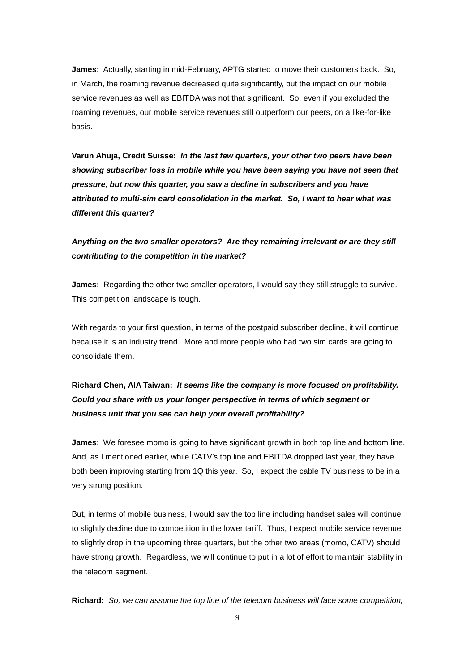**James:** Actually, starting in mid-February, APTG started to move their customers back. So, in March, the roaming revenue decreased quite significantly, but the impact on our mobile service revenues as well as EBITDA was not that significant. So, even if you excluded the roaming revenues, our mobile service revenues still outperform our peers, on a like-for-like basis.

**Varun Ahuja, Credit Suisse:** *In the last few quarters, your other two peers have been showing subscriber loss in mobile while you have been saying you have not seen that pressure, but now this quarter, you saw a decline in subscribers and you have attributed to multi-sim card consolidation in the market. So, I want to hear what was different this quarter?*

# *Anything on the two smaller operators? Are they remaining irrelevant or are they still contributing to the competition in the market?*

**James:** Regarding the other two smaller operators, I would say they still struggle to survive. This competition landscape is tough.

With regards to your first question, in terms of the postpaid subscriber decline, it will continue because it is an industry trend. More and more people who had two sim cards are going to consolidate them.

# **Richard Chen, AIA Taiwan:** *It seems like the company is more focused on profitability. Could you share with us your longer perspective in terms of which segment or business unit that you see can help your overall profitability?*

**James**: We foresee momo is going to have significant growth in both top line and bottom line. And, as I mentioned earlier, while CATV's top line and EBITDA dropped last year, they have both been improving starting from 1Q this year. So, I expect the cable TV business to be in a very strong position.

But, in terms of mobile business, I would say the top line including handset sales will continue to slightly decline due to competition in the lower tariff. Thus, I expect mobile service revenue to slightly drop in the upcoming three quarters, but the other two areas (momo, CATV) should have strong growth. Regardless, we will continue to put in a lot of effort to maintain stability in the telecom segment.

**Richard:** *So, we can assume the top line of the telecom business will face some competition,*